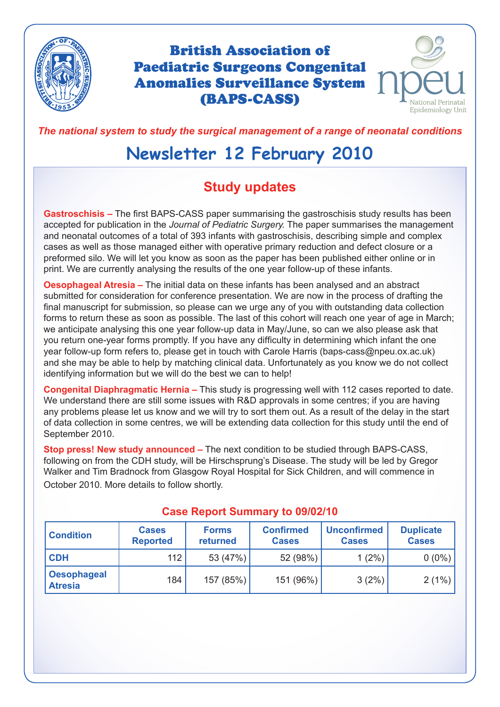

# British Association of Paediatric Surgeons Congenital Anomalies Surveillance System (BAPS-CASS)



*The national system to study the surgical management of a range of neonatal conditions*

# **Newsletter 12 February 2010**

# **Study updates**

**Gastroschisis –** The first BAPS-CASS paper summarising the gastroschisis study results has been accepted for publication in the *Journal of Pediatric Surgery.* The paper summarises the management and neonatal outcomes of a total of 393 infants with gastroschisis, describing simple and complex cases as well as those managed either with operative primary reduction and defect closure or a preformed silo. We will let you know as soon as the paper has been published either online or in print. We are currently analysing the results of the one year follow-up of these infants.

**Oesophageal Atresia –** The initial data on these infants has been analysed and an abstract submitted for consideration for conference presentation. We are now in the process of drafting the final manuscript for submission, so please can we urge any of you with outstanding data collection forms to return these as soon as possible. The last of this cohort will reach one year of age in March; we anticipate analysing this one year follow-up data in May/June, so can we also please ask that you return one-year forms promptly. If you have any difficulty in determining which infant the one year follow-up form refers to, please get in touch with Carole Harris (baps-cass@npeu.ox.ac.uk) and she may be able to help by matching clinical data. Unfortunately as you know we do not collect identifying information but we will do the best we can to help!

**Congenital Diaphragmatic Hernia –** This study is progressing well with 112 cases reported to date. We understand there are still some issues with R&D approvals in some centres; if you are having any problems please let us know and we will try to sort them out. As a result of the delay in the start of data collection in some centres, we will be extending data collection for this study until the end of September 2010.

**Stop press! New study announced –** The next condition to be studied through BAPS-CASS, following on from the CDH study, will be Hirschsprung's Disease. The study will be led by Gregor Walker and Tim Bradnock from Glasgow Royal Hospital for Sick Children, and will commence in October 2010. More details to follow shortly.

| <b>Condition</b>                     | <b>Cases</b><br><b>Reported</b> | <b>Forms</b><br>returned | <b>Confirmed</b><br><b>Cases</b> | <b>Unconfirmed</b><br><b>Cases</b> | <b>Duplicate</b><br><b>Cases</b> |
|--------------------------------------|---------------------------------|--------------------------|----------------------------------|------------------------------------|----------------------------------|
| <b>CDH</b>                           | 112                             | 53 (47%)                 | 52 (98%)                         | $1(2\%)$                           | $0(0\%)$                         |
| <b>Oesophageal</b><br><b>Atresia</b> | 184                             | 157 (85%)                | 151 (96%)                        | 3(2%)                              | 2(1%)                            |

#### **Case Report Summary to 09/02/10**